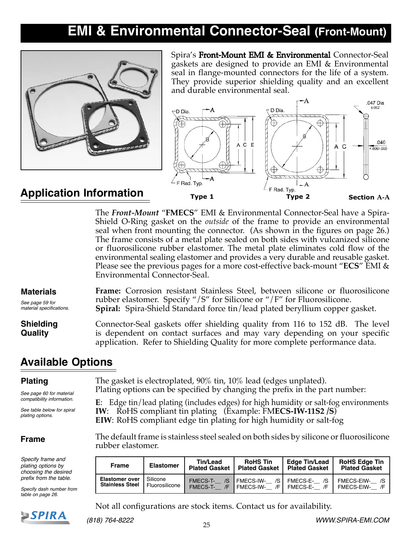# **EMI & Environmental Connector-Seal (Front-Mount)**



Spira's Front-Mount EMI & Environmental Connector-Seal gaskets are designed to provide an EMI & Environmental seal in flange-mounted connectors for the life of a system. They provide superior shielding quality and an excellent and durable environmental seal.



### **Application Information**

The *Front-Mount* "**FMECS**" EMI & Environmental Connector-Seal have a Spira-Shield O-Ring gasket on the *outside* of the frame to provide an environmental seal when front mounting the connector. (As shown in the figures on page 26.) The frame consists of a metal plate sealed on both sides with vulcanized silicone or fluorosilicone rubber elastomer. The metal plate eliminates cold flow of the environmental sealing elastomer and provides a very durable and reusable gasket. Please see the previous pages for a more cost-effective back-mount "**ECS**" EMI & Environmental Connector-Seal.

| <b>Materials</b>                   | Frame: Corrosion resistant Stainless Steel, between silicone or fluorosilicone                                                                                                                                                          |
|------------------------------------|-----------------------------------------------------------------------------------------------------------------------------------------------------------------------------------------------------------------------------------------|
| See page 59 for                    | rubber elastomer. Specify "/S" for Silicone or "/F" for Fluorosilicone.                                                                                                                                                                 |
| material specifications.           | Spiral: Spira-Shield Standard force tin/lead plated beryllium copper gasket.                                                                                                                                                            |
| <b>Shielding</b><br><b>Quality</b> | Connector-Seal gaskets offer shielding quality from 116 to 152 dB. The level<br>is dependent on contact surfaces and may vary depending on your specific<br>application. Refer to Shielding Quality for more complete performance data. |

### **Available Options**

#### **Plating**

*See page 60 for material compatibility information.*

*See table below for spiral plating options.*

#### **Frame**

*Specify frame and plating options by choosing the desired prefix from the table.*

*Specify dash number from table on page 26.*

The gasket is electroplated, 90% tin, 10% lead (edges unplated). Plating options can be specified by changing the prefix in the part number:

**E**: Edge tin/lead plating (includes edges) for high humidity or salt-fog environments **IW**: RoHS compliant tin plating (Example: FM**ECS-IW-11S2 /S**) **EIW**: RoHS compliant edge tin plating for high humidity or salt-fog

The default frame is stainless steel sealed on both sides by silicone or fluorosilicone rubber elastomer.

| <b>Frame</b>                                    | <b>Elastomer</b>           | Tin/Lead<br><b>Plated Gasket</b>               | <b>RoHS Tin</b><br><b>Plated Gasket</b>      | Edge Tin/Lead<br><b>Plated Gasket</b>   | <b>RoHS Edge Tin</b><br><b>Plated Gasket</b> |  |  |
|-------------------------------------------------|----------------------------|------------------------------------------------|----------------------------------------------|-----------------------------------------|----------------------------------------------|--|--|
| <b>Elastomer over</b><br><b>Stainless Steel</b> | Silicone<br>Fluorosilicone | <b>FMECS-T-</b><br>/S<br><b>FMECS-T-</b><br>/F | <b>FMECS-IW-</b><br>/S I<br>/F I<br>FMECS IW | <b>FMECS-E-</b><br>/S<br>FMECS-E-<br>/F | FMECS-EIW-<br>/S<br>FMECS-EIW-<br>/F         |  |  |

Not all configurations are stock items. Contact us for availability.